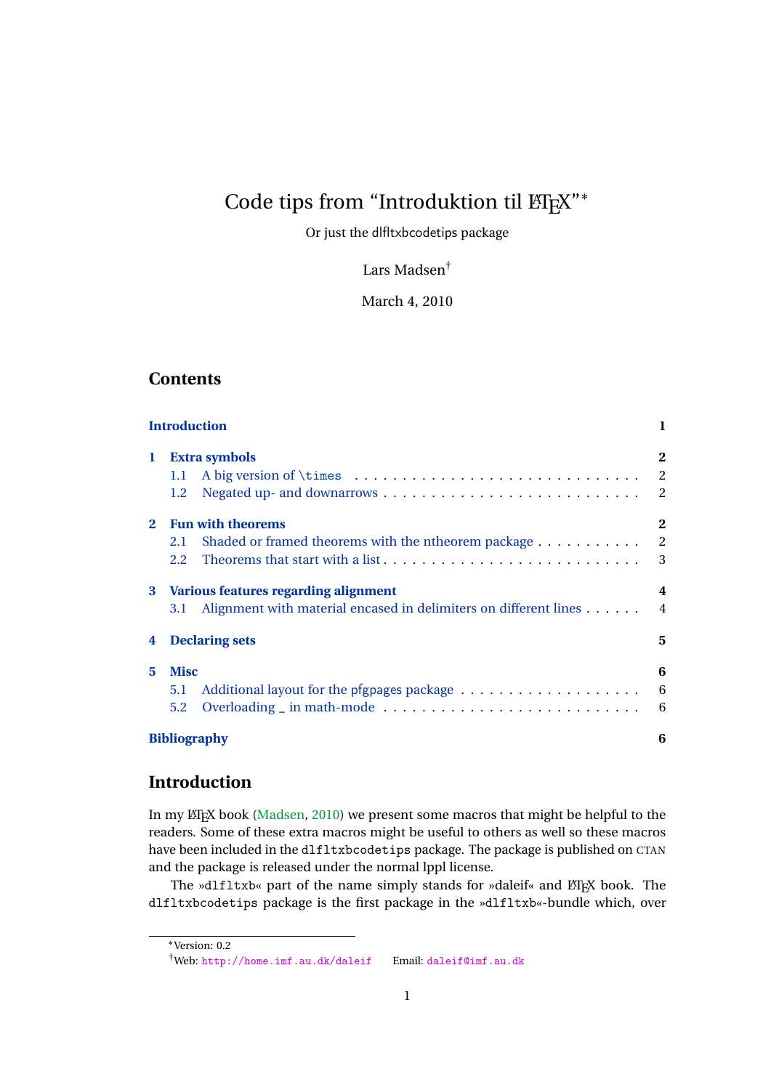# Code tips from "Introduktion til ETEX"\*

Or just the dlfltxbcodetips package

Lars Madsen†

March 4, 2010

# **Contents**

| <b>Introduction</b><br>1 |                                        |                                                                  |                            |  |  |
|--------------------------|----------------------------------------|------------------------------------------------------------------|----------------------------|--|--|
| 1                        |                                        | <b>Extra symbols</b>                                             | $\mathbf{2}$               |  |  |
|                          | 1.1                                    |                                                                  | $\overline{\phantom{a}}$   |  |  |
|                          | 1.2                                    |                                                                  | $\overline{\phantom{a}}^2$ |  |  |
| $\mathbf{2}$             | <b>Fun with theorems</b>               |                                                                  |                            |  |  |
|                          | $2.1 -$                                | Shaded or framed theorems with the ntheorem package 2            |                            |  |  |
|                          | 2.2                                    |                                                                  |                            |  |  |
|                          | 3 Various features regarding alignment |                                                                  |                            |  |  |
|                          | 3.1                                    | Alignment with material encased in delimiters on different lines | $\overline{4}$             |  |  |
| 4                        |                                        | <b>Declaring sets</b>                                            | 5                          |  |  |
| 5                        | <b>Misc</b>                            |                                                                  | 6                          |  |  |
|                          | 5.1                                    |                                                                  | $6\overline{6}$            |  |  |
|                          | 5.2                                    |                                                                  | $6\overline{6}$            |  |  |
|                          | <b>Bibliography</b>                    |                                                                  |                            |  |  |

# <span id="page-0-0"></span>**Introduction**

In my LATEX book [\(Madsen,](#page-5-4) [2010\)](#page-5-4) we present some macros that might be helpful to the readers. Some of these extra macros might be useful to others as well so these macros have been included in the dlfltxbcodetips package. The package is published on CTAN and the package is released under the normal lppl license.

The »dlfltxb« part of the name simply stands for »daleif« and ETEX book. The dlfltxbcodetips package is the first package in the »dlfltxb«-bundle which, over

<sup>∗</sup>Version: 0.2

<sup>†</sup>Web: <http://home.imf.au.dk/daleif> Email: <daleif@imf.au.dk>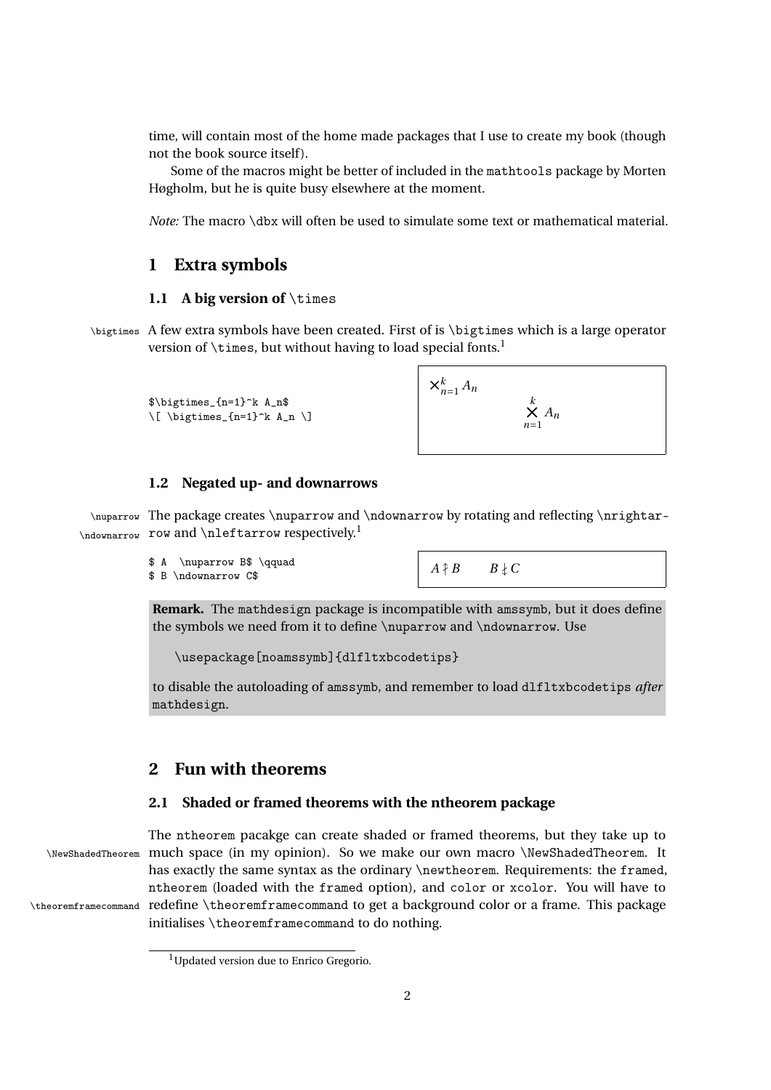time, will contain most of the home made packages that I use to create my book (though not the book source itself ).

Some of the macros might be better of included in the mathtools package by Morten Høgholm, but he is quite busy elsewhere at the moment.

<span id="page-1-0"></span>*Note:* The macro \dbx will often be used to simulate some text or mathematical material.

### **1 Extra symbols**

#### <span id="page-1-1"></span>**1.1 A big version of** \times

\bigtimes A few extra symbols have been created. First of is \bigtimes which is a large operator version of  $\times$  but without having to load special fonts.<sup>1</sup>

\$\bigtimes\_{n=1}^k A\_n\$  $\lceil \frac{m-1}{k} A_n \rceil \$ 

$$
\mathsf{X}_{n=1}^k A_n
$$
  

$$
\mathsf{X}_{n=1}^k A_n
$$

### <span id="page-1-2"></span>**1.2 Negated up- and downarrows**

\nuparrow The package creates \nuparrow and \ndownarrow by rotating and reflecting \nrightar-\ndownarrow row and \nleftarrow respectively.<sup>1</sup>

> \$ A \nuparrow B\$ \qquad  $\bullet$  A \intiparrow B \dquad  $A \uparrow B$ <br>  $\bullet$  B \ndownarrow C\$

*B*  $B \nmid C$ 

**Remark.** The mathdesign package is incompatible with amssymb, but it does define the symbols we need from it to define \nuparrow and \ndownarrow. Use

```
\usepackage[noamssymb]{dlfltxbcodetips}
```
to disable the autoloading of amssymb, and remember to load dlfltxbcodetips *after* mathdesign.

### <span id="page-1-3"></span>**2 Fun with theorems**

### <span id="page-1-4"></span>**2.1 Shaded or framed theorems with the ntheorem package**

The ntheorem pacakge can create shaded or framed theorems, but they take up to \NewShadedTheorem much space (in my opinion). So we make our own macro \NewShadedTheorem. It has exactly the same syntax as the ordinary \newtheorem. Requirements: the framed, ntheorem (loaded with the framed option), and color or xcolor. You will have to \theoremframecommand redefine \theoremframecommand to get a background color or a frame. This package initialises \theoremframecommand to do nothing.

<sup>&</sup>lt;sup>1</sup>Updated version due to Enrico Gregorio.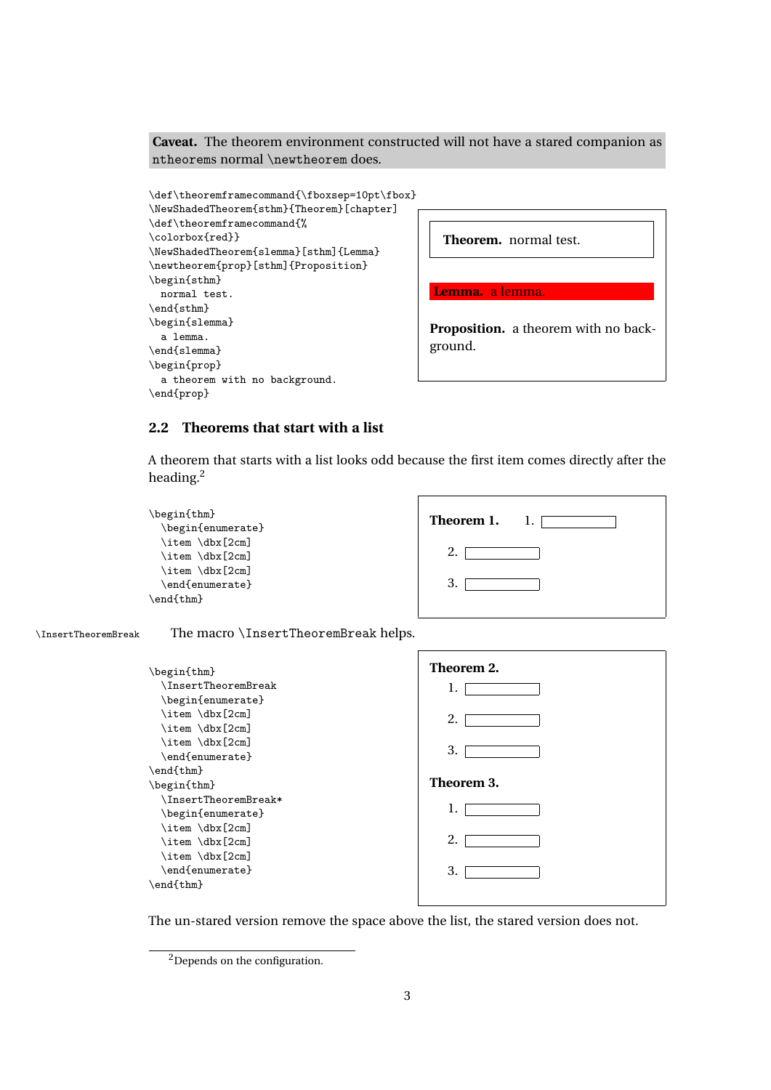**Caveat.** The theorem environment constructed will not have a stared companion as ntheorems normal \newtheorem does.



**Theorem.** normal test.

**Lemma.** a lemma.

**Proposition.** a theorem with no background.

#### <span id="page-2-0"></span>**2.2 Theorems that start with a list**

A theorem that starts with a list looks odd because the first item comes directly after the heading.<sup>2</sup>

```
\begin{thm}
                     \begin{enumerate}
                     \item \dbx[2cm]
                     \item \dbx[2cm]
                     \item \dbx[2cm]
                     \end{enumerate}
                   \end{thm}
                                                                  Theorem 1. 1.
                                                                     2.3.\InsertTheoremBreak The macro \InsertTheoremBreak helps.
                   \begin{thm}
                     \InsertTheoremBreak
                     \begin{enumerate}
                     \item \dbx[2cm]
                     \item \dbx[2cm]
                     \item \dbx[2cm]
                     \end{enumerate}
                   \en\lambda\InsertTheoremBreak*
                                                                  Theorem 2.
                                                                     1. \square2.
                                                                     3.
                                                                  Theorem 3.
                                                                     1.
```

| \begin{enumerate}<br>\item \dbx[2cm]<br>\item \dbx[2cm]                                                                                     | 2.         |
|---------------------------------------------------------------------------------------------------------------------------------------------|------------|
| \item \dbx[2cm]<br>\end{enumerate}                                                                                                          | 3.         |
| \end{thm}<br>\begin{thm}                                                                                                                    | Theorem 3. |
| $\verb \InsertTheoremBreak* $<br>\begin{enumerate}<br>\item \dbx[2cm]<br>\item \dbx[2cm]<br>\item \dbx[2cm]<br>\end{enumerate}<br>\end{thm} | 2.<br>3.   |
|                                                                                                                                             |            |

The un-stared version remove the space above the list, the stared version does not.

<sup>&</sup>lt;sup>2</sup>Depends on the configuration.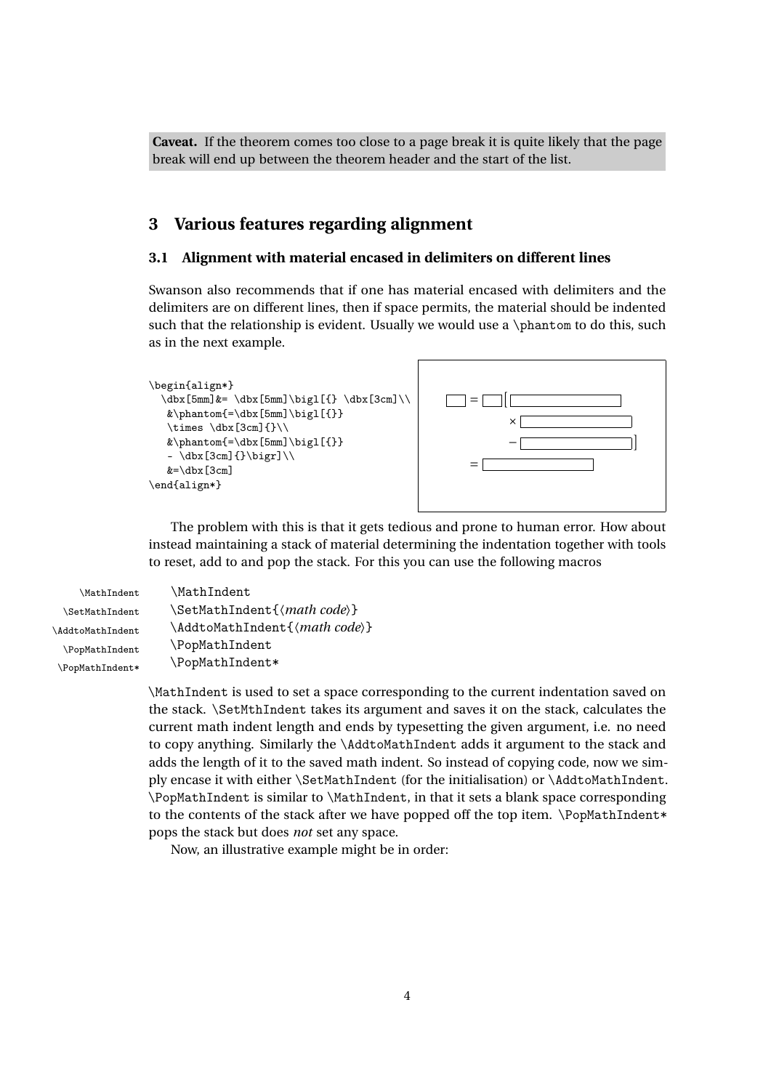**Caveat.** If the theorem comes too close to a page break it is quite likely that the page break will end up between the theorem header and the start of the list.

# <span id="page-3-0"></span>**3 Various features regarding alignment**

### <span id="page-3-1"></span>**3.1 Alignment with material encased in delimiters on different lines**

Swanson also recommends that if one has material encased with delimiters and the delimiters are on different lines, then if space permits, the material should be indented such that the relationship is evident. Usually we would use a  $\phi$  than to do this, such as in the next example.

```
\begin{align*}
  \dot{\mathbb{S}} = \dbar{\mathbb{S}} \bigcup \{\{\} \dbar{\mathbb{S}} \right)&\phantom{=\dbx[5mm]\bigl[{}}
   \times \dbx[3cm]{}\\
   &\phantom{=\dbx[5mm]\bigl[{}}
   - \ddot{\text{3cm}}{\big\{\}\big\}k=\dbx[3cm]\end{align*}
```


The problem with this is that it gets tedious and prone to human error. How about instead maintaining a stack of material determining the indentation together with tools to reset, add to and pop the stack. For this you can use the following macros

| \MathIndent           | \MathIndent                   |
|-----------------------|-------------------------------|
| <b>\SetMathIndent</b> | \SetMathIndent{\math code}}   |
| \AddtoMathIndent      | \AddtoMathIndent{\math code\} |
| \PopMathIndent        | \PopMathIndent                |
| \PopMathIndent*       | \PopMathIndent*               |

\MathIndent is used to set a space corresponding to the current indentation saved on the stack. \SetMthIndent takes its argument and saves it on the stack, calculates the current math indent length and ends by typesetting the given argument, i.e. no need to copy anything. Similarly the \AddtoMathIndent adds it argument to the stack and adds the length of it to the saved math indent. So instead of copying code, now we simply encase it with either \SetMathIndent (for the initialisation) or \AddtoMathIndent. \PopMathIndent is similar to \MathIndent, in that it sets a blank space corresponding to the contents of the stack after we have popped off the top item.  $\PP$ pMathIndent\* pops the stack but does *not* set any space.

Now, an illustrative example might be in order: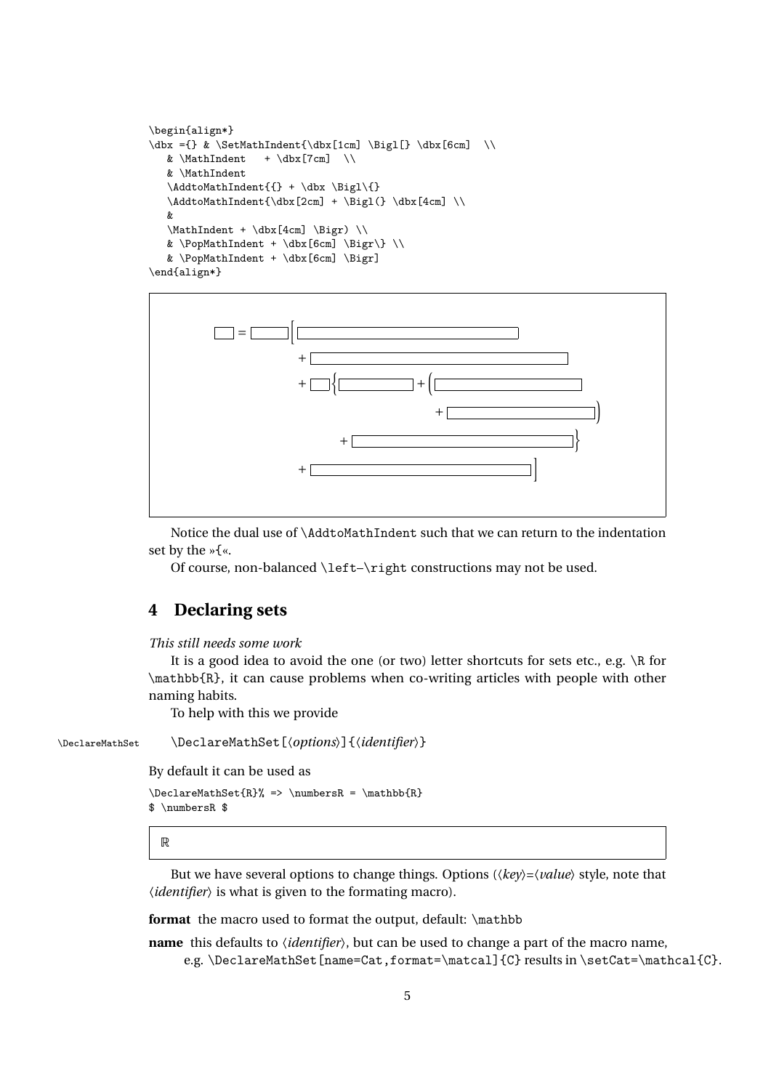```
\begin{align*}
\dbx ={} & \SetMathIndent{\dbx[1cm] \Bigl[} \dbx[6cm] \\
   & \mathrm{MathIndent} + \mathrm{dbx}[7cm] \\
   & \MathIndent
   \label{thm:rel} $$\Add \Adt\mathh\Indent{{} + \dbx \Bigl\{} \}$$\Addto\MathIndent{\dbx[2cm] + \Big\} \dbx[4cm] \\
   \boldsymbol{\ell}\label{lem:K} $$\MathIndent + \dbx[4cm] \Bigr) \ \ \& \PopMathIndent + \dbx[6cm] \Bigr\} \\
   & \PopMathIndent + \dbx[6cm] \Bigr]
\end{align*}
```


Notice the dual use of \AddtoMathIndent such that we can return to the indentation set by the »{«.

<span id="page-4-0"></span>Of course, non-balanced \left–\right constructions may not be used.

# **4 Declaring sets**

#### *This still needs some work*

It is a good idea to avoid the one (or two) letter shortcuts for sets etc., e.g.  $\setminus \mathbb{R}$  for \mathbb{R}, it can cause problems when co-writing articles with people with other naming habits.

To help with this we provide

\DeclareMathSet \DeclareMathSet[〈*options*〉]{〈*identifier*〉}

By default it can be used as

```
\DeltareMathSet{R}% => \numbersR = \mathbb{R}
$ \numbersR $
```
R

But we have several options to change things. Options (〈*key*〉=〈*value*〉 style, note that 〈*identifier*〉 is what is given to the formating macro).

format the macro used to format the output, default: \mathbb

**name** this defaults to 〈*identifier*〉, but can be used to change a part of the macro name, e.g. \DeclareMathSet[name=Cat,format=\matcal]{C} results in \setCat=\mathcal{C}.